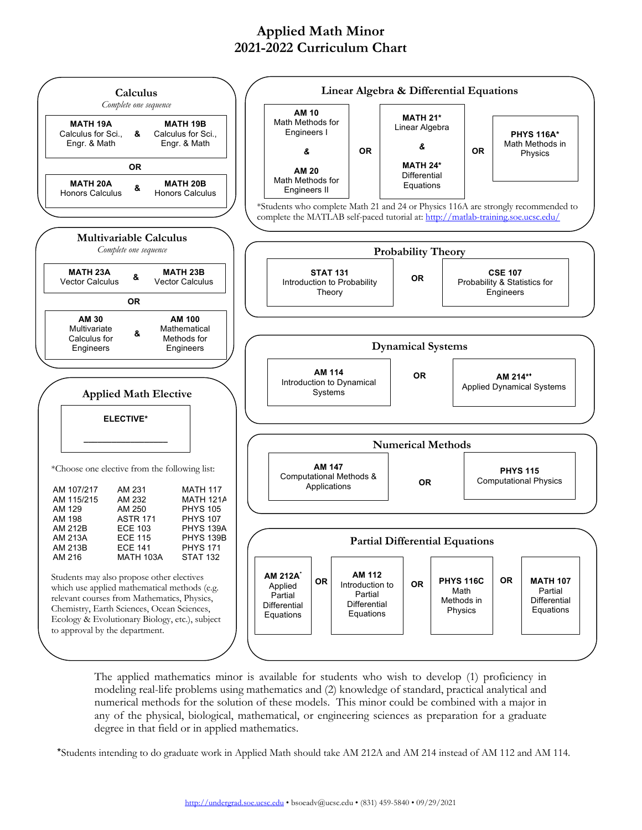## **Applied Math Minor 2021-2022 Curriculum Chart**



The applied mathematics minor is available for students who wish to develop (1) proficiency in modeling real-life problems using mathematics and (2) knowledge of standard, practical analytical and numerical methods for the solution of these models. This minor could be combined with a major in any of the physical, biological, mathematical, or engineering sciences as preparation for a graduate degree in that field or in applied mathematics.

\*Students intending to do graduate work in Applied Math should take AM 212A and AM 214 instead of AM 112 and AM 114.